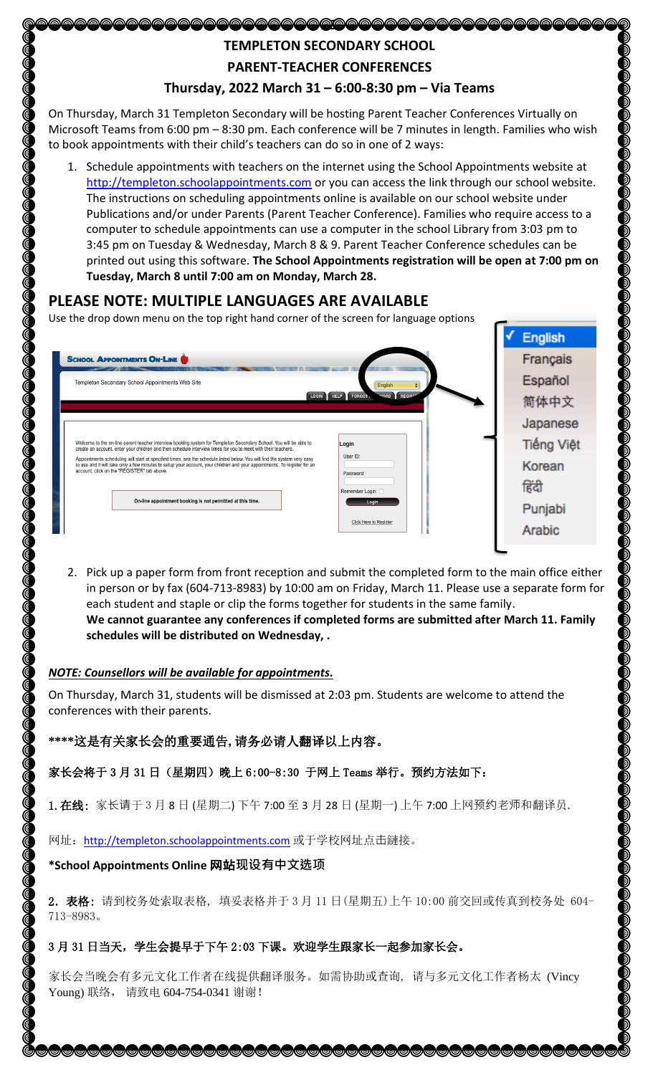## **TEMPLETON SECONDARY SCHOOL**

\@@@@@@@@@@@@@@@@@@@

**PARENT-TEACHER CONFERENCES**

## **Thursday, 2022 March 31 – 6:00-8:30 pm – Via Teams**

On Thursday, March 31 Templeton Secondary will be hosting Parent Teacher Conferences Virtually on Microsoft Teams from 6:00 pm – 8:30 pm. Each conference will be 7 minutes in length. Families who wish to book appointments with their child's teachers can do so in one of 2 ways:

1. Schedule appointments with teachers on the internet using the School Appointments website at [http://templeton.schoolappointments.com](http://templeton.schoolappointments.com/) or you can access the link through our school website. The instructions on scheduling appointments online is available on our school website under Publications and/or under Parents (Parent Teacher Conference). Families who require access to a computer to schedule appointments can use a computer in the school Library from 3:03 pm to 3:45 pm on Tuesday & Wednesday, March 8 & 9. Parent Teacher Conference schedules can be printed out using this software. **The School Appointments registration will be open at 7:00 pm on Tuesday, March 8 until 7:00 am on Monday, March 28.**

## **PLEASE NOTE: MULTIPLE LANGUAGES ARE AVAILABLE**

Use the drop down menu on the top right hand corner of the screen for language options



2. Pick up a paper form from front reception and submit the completed form to the main office either in person or by fax (604-713-8983) by 10:00 am on Friday, March 11. Please use a separate form for each student and staple or clip the forms together for students in the same family. **We cannot guarantee any conferences if completed forms are submitted after March 11. Family schedules will be distributed on Wednesday, .** 

)<br>Don

#### *NOTE: Counsellors will be available for appointments.*

On Thursday, March 31, students will be dismissed at 2:03 pm. Students are welcome to attend the conferences with their parents.

**\*\*\*\***这是有关家长会的重要通告**,** 请务必请人翻译以上内容。

家长会将于 3 月 31 日 (星期四) 晚上 6:00-8:30 于网上 Teams 举行。预约方法如下:

1. 在线: 家长请于 3 月 8 日 (星期二) 下午 7:00 至 3 月 28 日 (星期一) 上午 7:00 上网预约老师和翻译员.

网址: [http://templeton.schoolappointments.com](http://templeton.schoolappointments.com/) 或于学校网址点击鏈接。

#### **\*School Appointments Online** 网站**现设有中文选项**

2.表格: 请到校务处索取表格, 填妥表格并于 3 月 11 日(星期五)上午 10:00 前交回或传真到校务处 604- 713-8983。

### 3 月 31 日当天,学生会提早于下午 2:03 下课。欢迎学生跟家长一起参加家长会。

家长会当晚会有多元文化工作者在线提供翻译服务。如需协助或查询, 请与多元文化工作者杨太 (Vincy Young) 联络, 请致电 604-754-0341 谢谢!